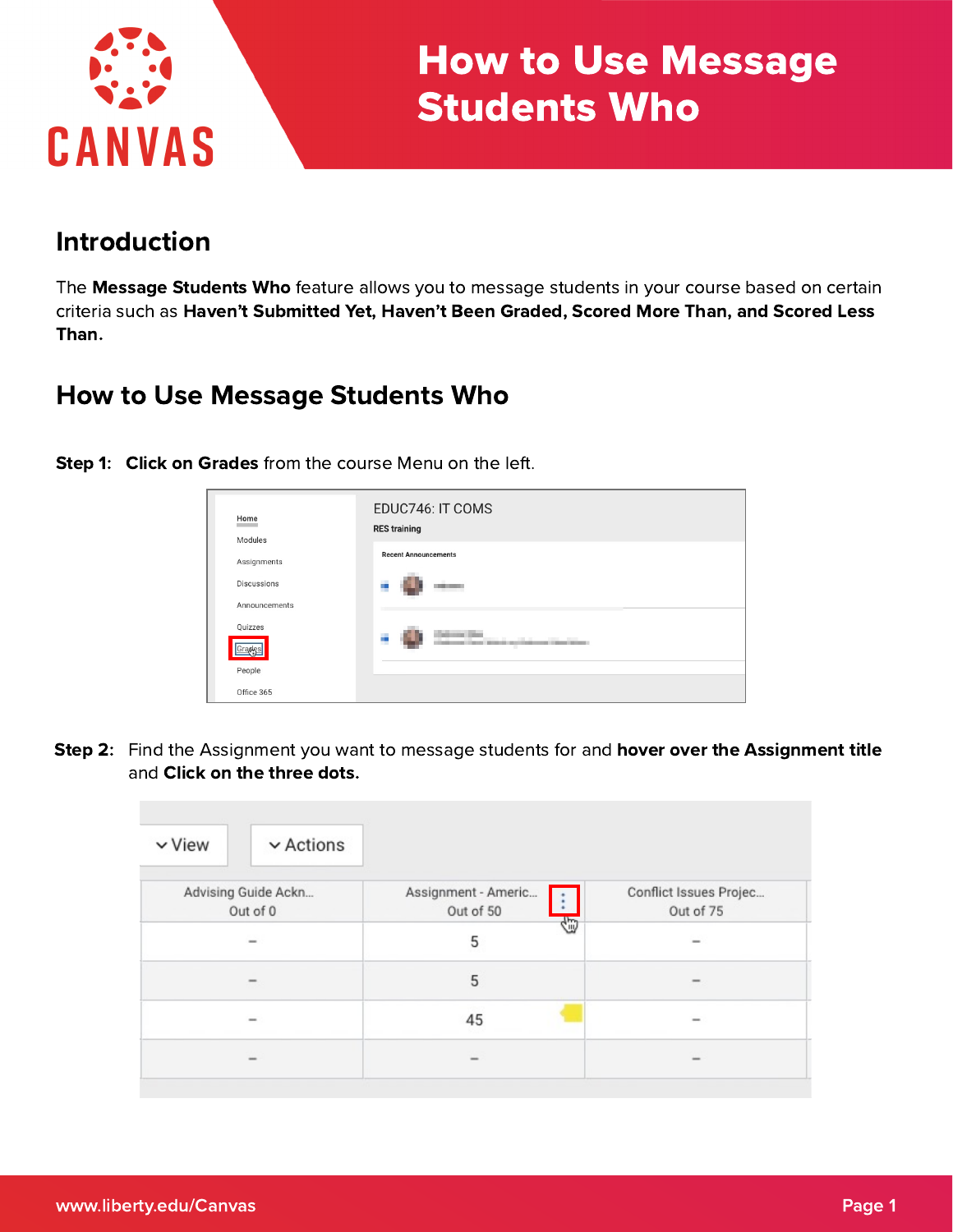

## Introduction

The Message Students Who feature allows you to message students in your course based on certain criteria such as Haven't Submitted Yet, Haven't Been Graded, Scored More Than, and Scored Less Than.

## How to Use Message Students Who

Step 1: Click on Grades from the course Menu on the left.

| Home<br>Modules                                    | EDUC746: IT COMS<br><b>RES</b> training                   |
|----------------------------------------------------|-----------------------------------------------------------|
| Assignments<br><b>Discussions</b><br>Announcements | <b>Recent Announcements</b><br>n e                        |
| Quizzes                                            | <b>STATE OF</b><br><b>CONSUMITY</b><br><b>The Control</b> |
| People<br>Office 365                               |                                                           |

Step 2: Find the Assignment you want to message students for and hover over the Assignment title and Click on the three dots.

| $\vee$ View | $\vee$ Actions                  |                                       |                                     |
|-------------|---------------------------------|---------------------------------------|-------------------------------------|
|             | Advising Guide Ackn<br>Out of 0 | Assignment - Americ<br>÷<br>Out of 50 | Conflict Issues Projec<br>Out of 75 |
|             | $\equiv$                        | ę<br>5                                | $\overline{\phantom{a}}$            |
|             |                                 | 5                                     |                                     |
|             | -                               | 45                                    | $\equiv$                            |
|             |                                 |                                       |                                     |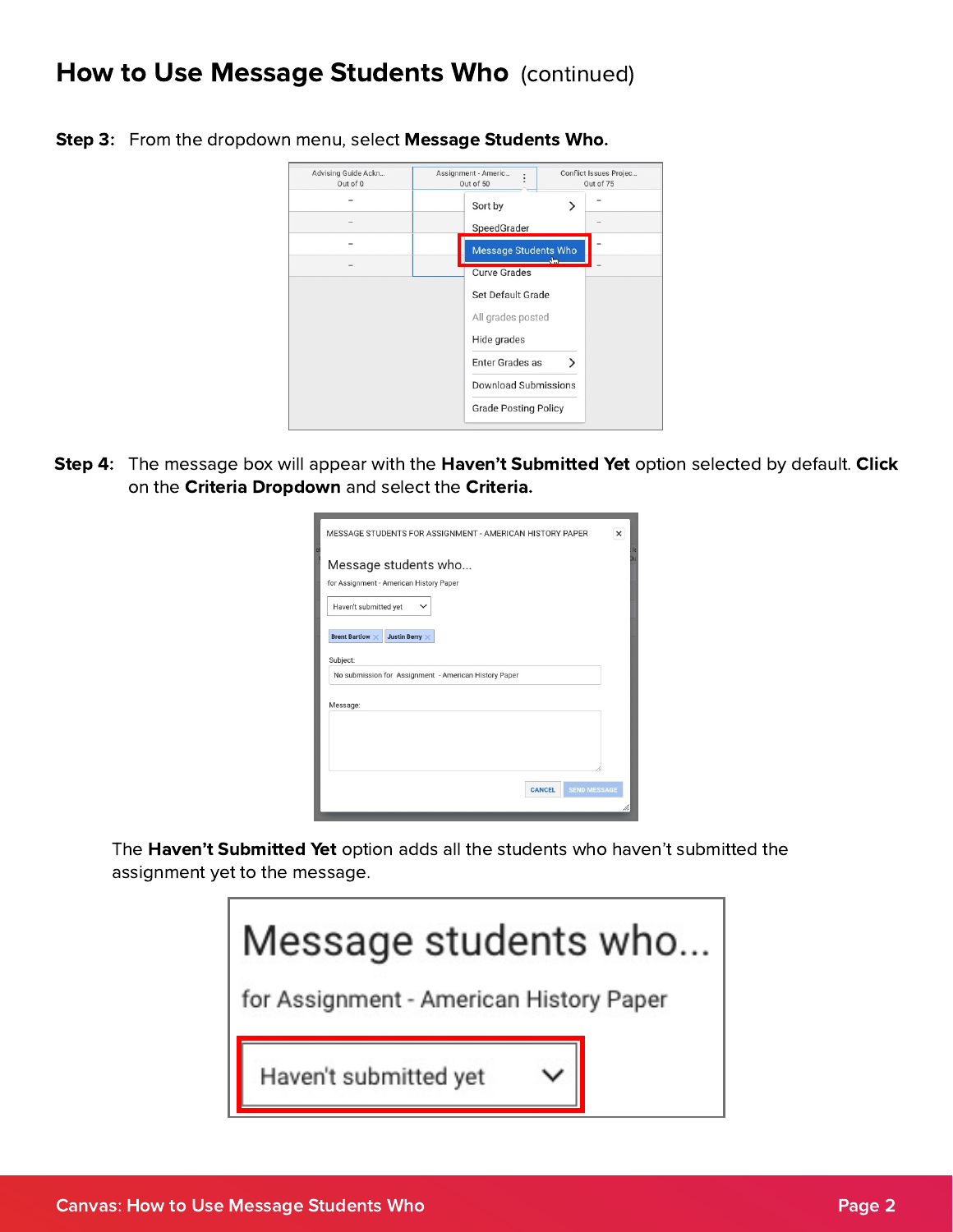# How to Use Message Students Who (continued)

Advising Guide Ackn... Conflict Issues Projec.. Assignment - Americ...  $\vdots$ Out of 50 Out of 0 Out of 75 Sort by >  $\overline{\phantom{a}}$ SpeedGrader  $\sim$ Message Students Who i. **Curve Grades** Set Default Grade All grades posted Hide grades Enter Grades as ゝ **Download Submissions Grade Posting Policy** 

Step 3: From the dropdown menu, select Message Students Who.

Step 4: The message box will appear with the Haven't Submitted Yet option selected by default. Click on the Criteria Dropdown and select the Criteria.

| MESSAGE STUDENTS FOR ASSIGNMENT - AMERICAN HISTORY PAPER                                                                                                               | ×<br>Is |
|------------------------------------------------------------------------------------------------------------------------------------------------------------------------|---------|
| Message students who<br>for Assignment - American History Paper<br>Haven't submitted yet<br>$\check{ }$<br><b>Brent Bartlow X</b><br>Justin Berry $\times$<br>Subject: |         |
| No submission for Assignment - American History Paper                                                                                                                  |         |
| Message:                                                                                                                                                               |         |
|                                                                                                                                                                        |         |
| <b>SEND MESSAGE</b><br><b>CANCEL</b>                                                                                                                                   |         |
|                                                                                                                                                                        | /i.     |

The Haven't Submitted Yet option adds all the students who haven't submitted the assignment yet to the message.

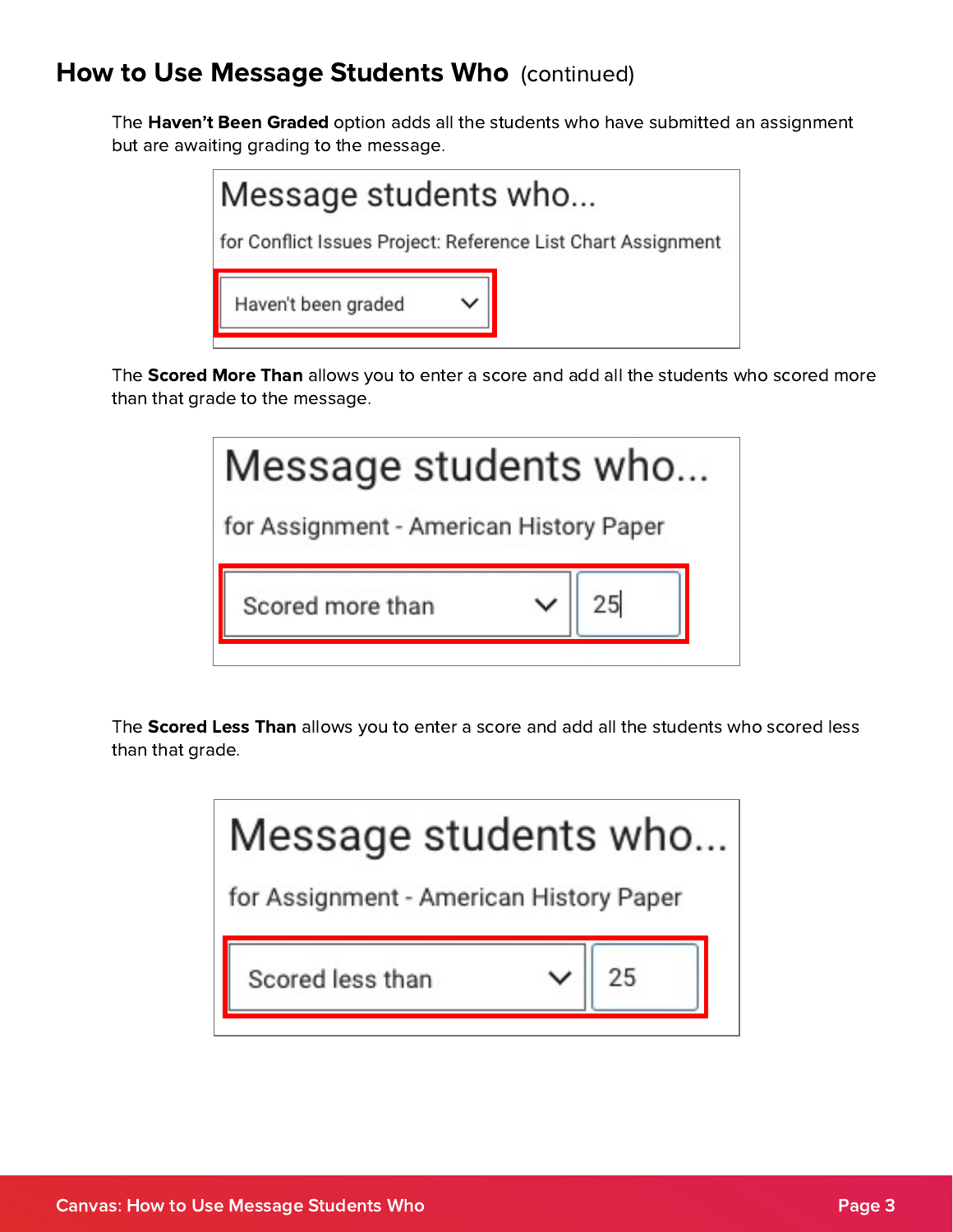## How to Use Message Students Who (continued)

The Haven't Been Graded option adds all the students who have submitted an assignment but are awaiting grading to the message.



The Scored More Than allows you to enter a score and add all the students who scored more than that grade to the message.

| Message students who                                        |  |  |  |  |  |
|-------------------------------------------------------------|--|--|--|--|--|
| for Assignment - American History Paper<br>Scored more than |  |  |  |  |  |
|                                                             |  |  |  |  |  |

The Scored Less Than allows you to enter a score and add all the students who scored less than that grade.

| Message students who                    |  |  |  |  |  |  |
|-----------------------------------------|--|--|--|--|--|--|
| for Assignment - American History Paper |  |  |  |  |  |  |
| Scored less than                        |  |  |  |  |  |  |